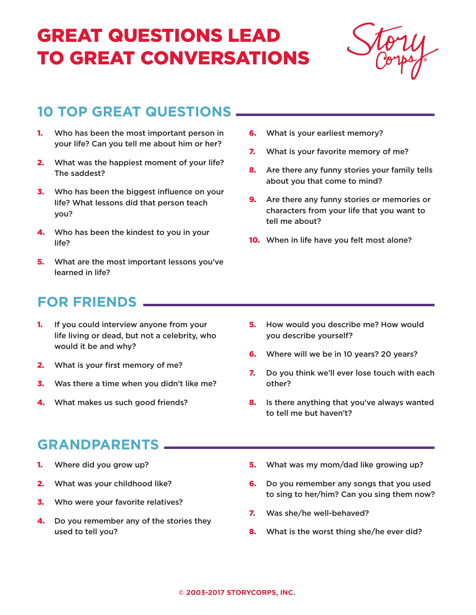# GREAT QUESTIONS LEAD TO GREAT CONVERSATIONS



## **10 TOP GREAT QUESTIONS**

- **1.** Who has been the most important person in your life? Can you tell me about him or her?
- 2. What was the happiest moment of your life? The saddest?
- **3.** Who has been the biggest influence on your life? What lessons did that person teach you?
- 4. Who has been the kindest to you in your life?
- **5.** What are the most important lessons you've learned in life?
- **6.** What is your earliest memory?
- **7.** What is your favorite memory of me?
- 8. Are there any funny stories your family tells about you that come to mind?
- **9.** Are there any funny stories or memories or characters from your life that you want to tell me about?
- 10. When in life have you felt most alone?

### **FOR FRIENDS**

- **1.** If you could interview anyone from your life living or dead, but not a celebrity, who would it be and why?
- 2. What is your first memory of me?
- **3.** Was there a time when you didn't like me?
- 4. What makes us such good friends?

#### **GRANDPARENTS**

- 1. Where did you grow up?
- 2. What was your childhood like?
- **3.** Who were your favorite relatives?
- 4. Do you remember any of the stories they used to tell you?
- 5. How would you describe me? How would you describe yourself?
- **6.** Where will we be in 10 years? 20 years?
- 7. Do you think we'll ever lose touch with each other?
- 8. Is there anything that you've always wanted to tell me but haven't?
- 5. What was my mom/dad like growing up?
- **6.** Do you remember any songs that you used to sing to her/him? Can you sing them now?
- 7. Was she/he well-behaved?
- 8. What is the worst thing she/he ever did?